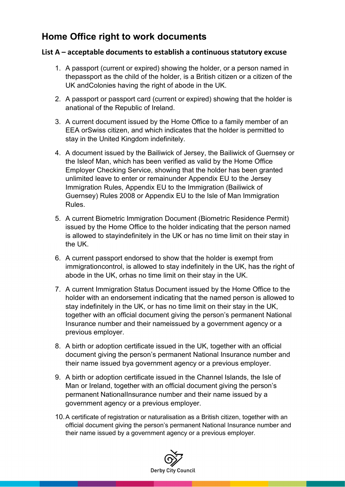## **Home Office right to work documents**

## **List A – acceptable documents to establish a continuous statutory excuse**

- 1. A passport (current or expired) showing the holder, or a person named in thepassport as the child of the holder, is a British citizen or a citizen of the UK andColonies having the right of abode in the UK.
- 2. A passport or passport card (current or expired) showing that the holder is anational of the Republic of Ireland.
- 3. A current document issued by the Home Office to a family member of an EEA orSwiss citizen, and which indicates that the holder is permitted to stay in the United Kingdom indefinitely.
- 4. A document issued by the Bailiwick of Jersey, the Bailiwick of Guernsey or the Isleof Man, which has been verified as valid by the Home Office Employer Checking Service, showing that the holder has been granted unlimited leave to enter or remainunder Appendix EU to the Jersey Immigration Rules, Appendix EU to the Immigration (Bailiwick of Guernsey) Rules 2008 or Appendix EU to the Isle of Man Immigration Rules.
- 5. A current Biometric Immigration Document (Biometric Residence Permit) issued by the Home Office to the holder indicating that the person named is allowed to stayindefinitely in the UK or has no time limit on their stay in the UK.
- 6. A current passport endorsed to show that the holder is exempt from immigrationcontrol, is allowed to stay indefinitely in the UK, has the right of abode in the UK, orhas no time limit on their stay in the UK.
- 7. A current Immigration Status Document issued by the Home Office to the holder with an endorsement indicating that the named person is allowed to stay indefinitely in the UK, or has no time limit on their stay in the UK, together with an official document giving the person's permanent National Insurance number and their nameissued by a government agency or a previous employer.
- 8. A birth or adoption certificate issued in the UK, together with an official document giving the person's permanent National Insurance number and their name issued bya government agency or a previous employer.
- 9. A birth or adoption certificate issued in the Channel Islands, the Isle of Man or Ireland, together with an official document giving the person's permanent NationalInsurance number and their name issued by a government agency or a previous employer.
- 10.A certificate of registration or naturalisation as a British citizen, together with an official document giving the person's permanent National Insurance number and their name issued by a government agency or a previous employer.

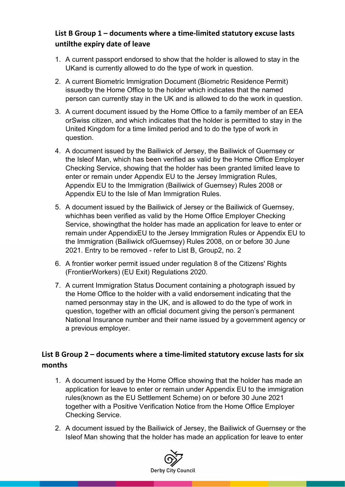## **List B Group 1 – documents where a time-limited statutory excuse lasts untilthe expiry date of leave**

- 1. A current passport endorsed to show that the holder is allowed to stay in the UKand is currently allowed to do the type of work in question.
- 2. A current Biometric Immigration Document (Biometric Residence Permit) issuedby the Home Office to the holder which indicates that the named person can currently stay in the UK and is allowed to do the work in question.
- 3. A current document issued by the Home Office to a family member of an EEA orSwiss citizen, and which indicates that the holder is permitted to stay in the United Kingdom for a time limited period and to do the type of work in question.
- 4. A document issued by the Bailiwick of Jersey, the Bailiwick of Guernsey or the Isleof Man, which has been verified as valid by the Home Office Employer Checking Service, showing that the holder has been granted limited leave to enter or remain under Appendix EU to the Jersey Immigration Rules, Appendix EU to the Immigration (Bailiwick of Guernsey) Rules 2008 or Appendix EU to the Isle of Man Immigration Rules.
- 5. A document issued by the Bailiwick of Jersey or the Bailiwick of Guernsey, whichhas been verified as valid by the Home Office Employer Checking Service, showingthat the holder has made an application for leave to enter or remain under AppendixEU to the Jersey Immigration Rules or Appendix EU to the Immigration (Bailiwick ofGuernsey) Rules 2008, on or before 30 June 2021. Entry to be removed - refer to List B, Group2, no. 2
- 6. A frontier worker permit issued under regulation 8 of the Citizens' Rights (FrontierWorkers) (EU Exit) Regulations 2020.
- 7. A current Immigration Status Document containing a photograph issued by the Home Office to the holder with a valid endorsement indicating that the named personmay stay in the UK, and is allowed to do the type of work in question, together with an official document giving the person's permanent National Insurance number and their name issued by a government agency or a previous employer.

## **List B Group 2 – documents where a time-limited statutory excuse lasts for six months**

- 1. A document issued by the Home Office showing that the holder has made an application for leave to enter or remain under Appendix EU to the immigration rules(known as the EU Settlement Scheme) on or before 30 June 2021 together with a Positive Verification Notice from the Home Office Employer Checking Service.
- 2. A document issued by the Bailiwick of Jersey, the Bailiwick of Guernsey or the Isleof Man showing that the holder has made an application for leave to enter